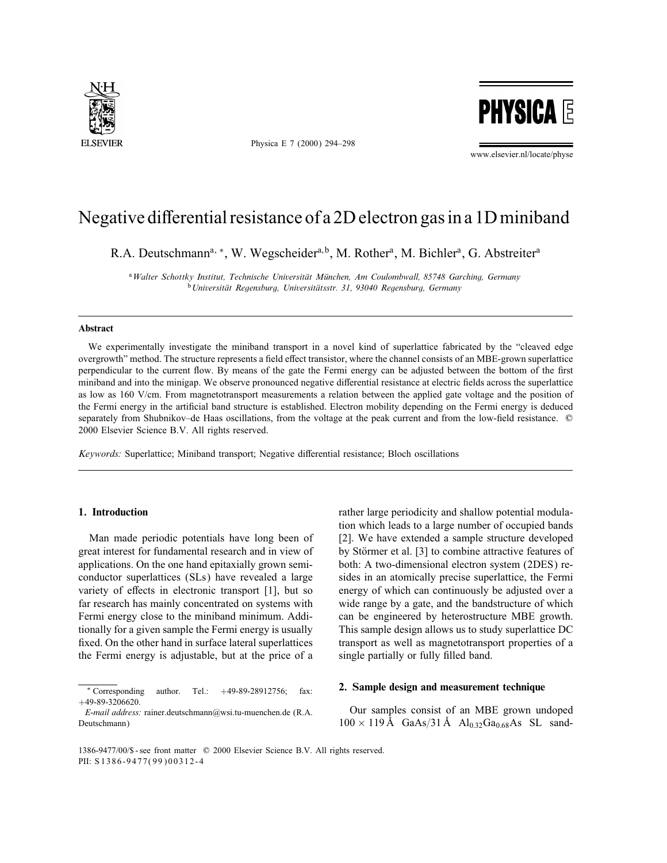

Physica E 7 (2000) 294–298

**PHYSICA E** 

www.elsevier.nl/locate/physe

# Negative differential resistance of a 2D electron gas in a 1D miniband

R.A. Deutschmann<sup>a, \*</sup>, W. Wegscheider<sup>a,b</sup>, M. Rother<sup>a</sup>, M. Bichler<sup>a</sup>, G. Abstreiter<sup>a</sup>

<sup>a</sup> Walter Schottky Institut, Technische Universität München, Am Coulombwall, 85748 Garching, Germany <sup>b</sup> Universität Regensburg, Universitätsstr. 31, 93040 Regensburg, Germany

#### Abstract

We experimentally investigate the miniband transport in a novel kind of superlattice fabricated by the "cleaved edge overgrowth" method. The structure represents a field effect transistor, where the channel consists of an MBE-grown superlattice perpendicular to the current flow. By means of the gate the Fermi energy can be adjusted between the bottom of the first miniband and into the minigap. We observe pronounced negative differential resistance at electric fields across the superlattice as low as 160 V/cm. From magnetotransport measurements a relation between the applied gate voltage and the position of the Fermi energy in the articial band structure is established. Electron mobility depending on the Fermi energy is deduced separately from Shubnikov–de Haas oscillations, from the voltage at the peak current and from the low-field resistance.  $\circledcirc$ 2000 Elsevier Science B.V. All rights reserved.

Keywords: Superlattice; Miniband transport; Negative differential resistance; Bloch oscillations

## 1. Introduction

Man made periodic potentials have long been of great interest for fundamental research and in view of applications. On the one hand epitaxially grown semiconductor superlattices (SLs) have revealed a large variety of effects in electronic transport  $[1]$ , but so far research has mainly concentrated on systems with Fermi energy close to the miniband minimum. Additionally for a given sample the Fermi energy is usually fixed. On the other hand in surface lateral superlattices the Fermi energy is adjustable, but at the price of a

rather large periodicity and shallow potential modulation which leads to a large number of occupied bands [2]. We have extended a sample structure developed by Störmer et al. [3] to combine attractive features of both: A two-dimensional electron system (2DES) resides in an atomically precise superlattice, the Fermi energy of which can continuously be adjusted over a wide range by a gate, and the bandstructure of which can be engineered by heterostructure MBE growth. This sample design allows us to study superlattice DC transport as well as magnetotransport properties of a single partially or fully filled band.

#### 2. Sample design and measurement technique

Our samples consist of an MBE grown undoped  $100 \times 119 \text{ Å}$  GaAs/31 Å Al<sub>0.32</sub>Ga<sub>0.68</sub>As SL sand-

<sup>∗</sup> Corresponding author. Tel.: +49-89-28912756; fax: +49-89-3206620.

E-mail address: rainer.deutschmann@wsi.tu-muenchen.de (R.A. Deutschmann)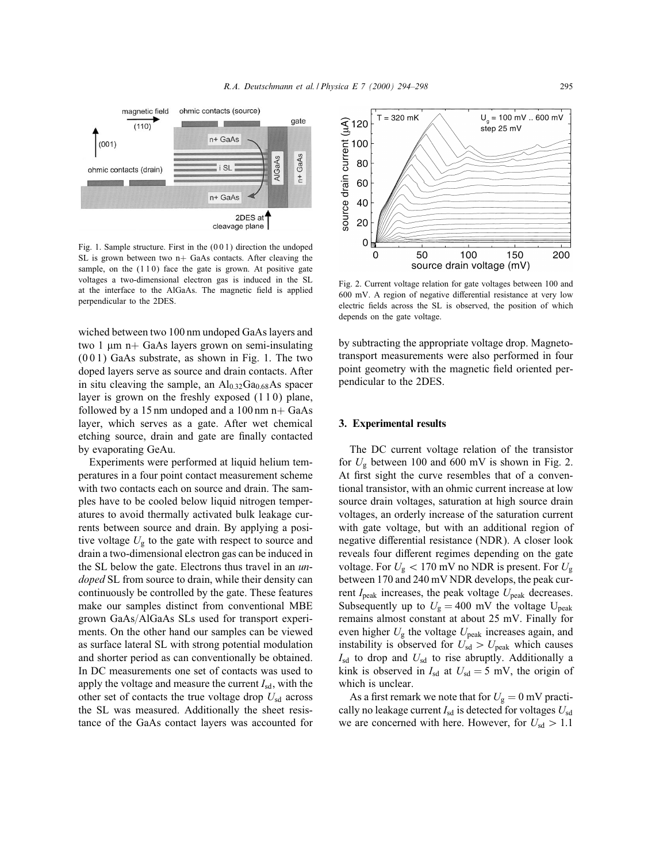

Fig. 1. Sample structure. First in the (0 0 1) direction the undoped SL is grown between two  $n+$  GaAs contacts. After cleaving the sample, on the  $(110)$  face the gate is grown. At positive gate voltages a two-dimensional electron gas is induced in the SL at the interface to the AlGaAs. The magnetic field is applied perpendicular to the 2DES.

wiched between two 100 nm undoped GaAs layers and two  $1 \mu m$  n+ GaAs layers grown on semi-insulating (0 0 1) GaAs substrate, as shown in Fig. 1. The two doped layers serve as source and drain contacts. After in situ cleaving the sample, an  $Al<sub>0.32</sub>Ga<sub>0.68</sub>As spacer$ layer is grown on the freshly exposed  $(110)$  plane, followed by a 15 nm undoped and a 100 nm  $n+$  GaAs layer, which serves as a gate. After wet chemical etching source, drain and gate are finally contacted by evaporating GeAu.

Experiments were performed at liquid helium temperatures in a four point contact measurement scheme with two contacts each on source and drain. The samples have to be cooled below liquid nitrogen temperatures to avoid thermally activated bulk leakage currents between source and drain. By applying a positive voltage  $U_{\rm g}$  to the gate with respect to source and drain a two-dimensional electron gas can be induced in the SL below the gate. Electrons thus travel in an undoped SL from source to drain, while their density can continuously be controlled by the gate. These features make our samples distinct from conventional MBE grown GaAs/AlGaAs SLs used for transport experiments. On the other hand our samples can be viewed as surface lateral SL with strong potential modulation and shorter period as can conventionally be obtained. In DC measurements one set of contacts was used to apply the voltage and measure the current  $I_{sd}$ , with the other set of contacts the true voltage drop  $U_{sd}$  across the SL was measured. Additionally the sheet resistance of the GaAs contact layers was accounted for



Fig. 2. Current voltage relation for gate voltages between 100 and  $600$  mV. A region of negative differential resistance at very low electric fields across the SL is observed, the position of which depends on the gate voltage.

by subtracting the appropriate voltage drop. Magnetotransport measurements were also performed in four point geometry with the magnetic field oriented perpendicular to the 2DES.

#### 3. Experimental results

The DC current voltage relation of the transistor for  $U_g$  between 100 and 600 mV is shown in Fig. 2. At first sight the curve resembles that of a conventional transistor, with an ohmic current increase at low source drain voltages, saturation at high source drain voltages, an orderly increase of the saturation current with gate voltage, but with an additional region of negative differential resistance (NDR). A closer look reveals four different regimes depending on the gate voltage. For  $U_{\rm g}$  < 170 mV no NDR is present. For  $U_{\rm g}$ between 170 and 240 mV NDR develops, the peak current  $I_{\text{peak}}$  increases, the peak voltage  $U_{\text{peak}}$  decreases. Subsequently up to  $U<sub>g</sub> = 400$  mV the voltage U<sub>peak</sub> remains almost constant at about 25 mV. Finally for even higher  $U_{\rm g}$  the voltage  $U_{\rm peak}$  increases again, and instability is observed for  $U_{sd} > U_{peak}$  which causes  $I_{\rm sd}$  to drop and  $U_{\rm sd}$  to rise abruptly. Additionally a kink is observed in  $I_{sd}$  at  $U_{sd} = 5$  mV, the origin of which is unclear.

As a first remark we note that for  $U_{\rm g}=0$  mV practically no leakage current  $I_{sd}$  is detected for voltages  $U_{sd}$ we are concerned with here. However, for  $U_{sd} > 1.1$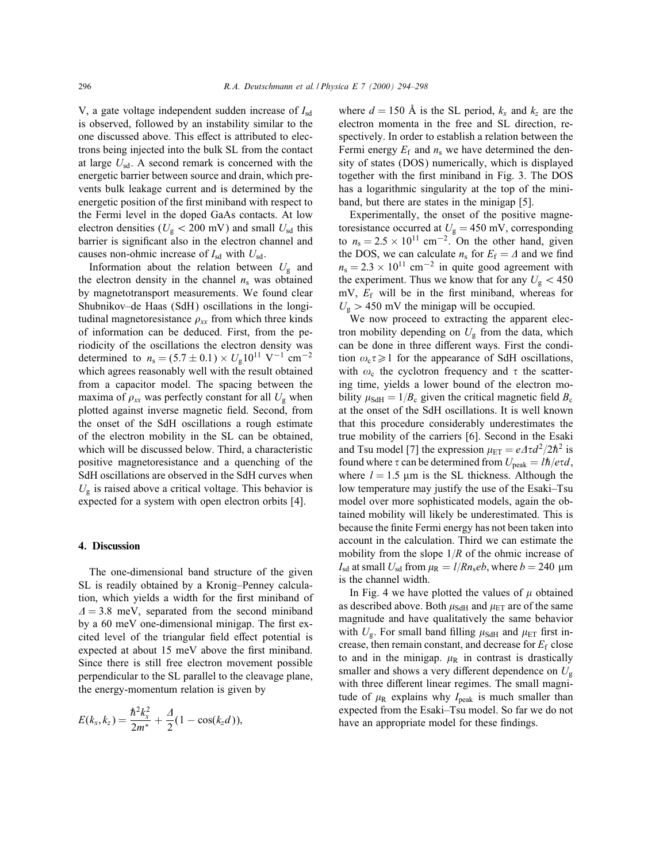V, a gate voltage independent sudden increase of  $I_{sd}$ is observed, followed by an instability similar to the one discussed above. This effect is attributed to electrons being injected into the bulk SL from the contact at large  $U_{sd}$ . A second remark is concerned with the energetic barrier between source and drain, which prevents bulk leakage current and is determined by the energetic position of the first miniband with respect to the Fermi level in the doped GaAs contacts. At low electron densities ( $U_g$  < 200 mV) and small  $U_{sd}$  this barrier is signicant also in the electron channel and causes non-ohmic increase of  $I_{sd}$  with  $U_{sd}$ .

Information about the relation between  $U_{\rm g}$  and the electron density in the channel  $n<sub>s</sub>$  was obtained by magnetotransport measurements. We found clear Shubnikov–de Haas (SdH) oscillations in the longitudinal magnetoresistance  $\rho_{xx}$  from which three kinds of information can be deduced. First, from the periodicity of the oscillations the electron density was determined to  $n_s = (5.7 \pm 0.1) \times U_g 10^{11} \text{ V}^{-1} \text{ cm}^{-2}$ which agrees reasonably well with the result obtained from a capacitor model. The spacing between the maxima of  $\rho_{xx}$  was perfectly constant for all  $U_{g}$  when plotted against inverse magnetic field. Second, from the onset of the SdH oscillations a rough estimate of the electron mobility in the SL can be obtained, which will be discussed below. Third, a characteristic positive magnetoresistance and a quenching of the SdH oscillations are observed in the SdH curves when  $U_{\rm g}$  is raised above a critical voltage. This behavior is expected for a system with open electron orbits [4].

#### 4. Discussion

The one-dimensional band structure of the given SL is readily obtained by a Kronig–Penney calculation, which yields a width for the first miniband of  $\Delta = 3.8$  meV, separated from the second miniband by a 60 meV one-dimensional minigap. The first excited level of the triangular field effect potential is expected at about 15 meV above the first miniband. Since there is still free electron movement possible perpendicular to the SL parallel to the cleavage plane, the energy-momentum relation is given by

$$
E(k_x, k_z) = \frac{\hbar^2 k_x^2}{2m^*} + \frac{\Delta}{2}(1 - \cos(k_z d)),
$$

where  $d = 150$  Å is the SL period,  $k_x$  and  $k_z$  are the electron momenta in the free and SL direction, respectively. In order to establish a relation between the Fermi energy  $E_f$  and  $n_s$  we have determined the density of states (DOS) numerically, which is displayed together with the first miniband in Fig. 3. The DOS has a logarithmic singularity at the top of the miniband, but there are states in the minigap [5].

Experimentally, the onset of the positive magnetoresistance occurred at  $U_g = 450$  mV, corresponding to  $n_s = 2.5 \times 10^{11}$  cm<sup>-2</sup>. On the other hand, given the DOS, we can calculate  $n_s$  for  $E_f = \Delta$  and we find  $n_s = 2.3 \times 10^{11}$  cm<sup>-2</sup> in quite good agreement with the experiment. Thus we know that for any  $U_g < 450$ mV,  $E_f$  will be in the first miniband, whereas for  $U_{\rm g} > 450$  mV the minigap will be occupied.

We now proceed to extracting the apparent electron mobility depending on  $U_{\rm g}$  from the data, which can be done in three different ways. First the condition  $\omega_c \tau \geq 1$  for the appearance of SdH oscillations, with  $\omega_c$  the cyclotron frequency and  $\tau$  the scattering time, yields a lower bound of the electron mobility  $\mu_{\text{SdH}} = 1/B_c$  given the critical magnetic field  $B_c$ at the onset of the SdH oscillations. It is well known that this procedure considerably underestimates the true mobility of the carriers [6]. Second in the Esaki and Tsu model [7] the expression  $\mu_{ET} = e \Delta \tau d^2 / 2\hbar^2$  is found where  $\tau$  can be determined from  $U_{\text{peak}} = l\hbar/e\tau d$ , where  $l = 1.5$  µm is the SL thickness. Although the low temperature may justify the use of the Esaki–Tsu model over more sophisticated models, again the obtained mobility will likely be underestimated. This is because the finite Fermi energy has not been taken into account in the calculation. Third we can estimate the mobility from the slope  $1/R$  of the ohmic increase of  $I_{\rm sd}$  at small  $U_{\rm sd}$  from  $\mu_{\rm R} = I/Rn_{\rm s}eb$ , where  $b = 240 \mu m$ is the channel width.

In Fig. 4 we have plotted the values of  $\mu$  obtained as described above. Both  $\mu_{\text{SdH}}$  and  $\mu_{\text{ET}}$  are of the same magnitude and have qualitatively the same behavior with  $U_{\rm g}$ . For small band filling  $\mu_{\rm SdH}$  and  $\mu_{\rm ET}$  first increase, then remain constant, and decrease for  $E_f$  close to and in the minigap.  $\mu_R$  in contrast is drastically smaller and shows a very different dependence on  $U_{\rm g}$ with three different linear regimes. The small magnitude of  $\mu_R$  explains why  $I_{peak}$  is much smaller than expected from the Esaki–Tsu model. So far we do not have an appropriate model for these findings.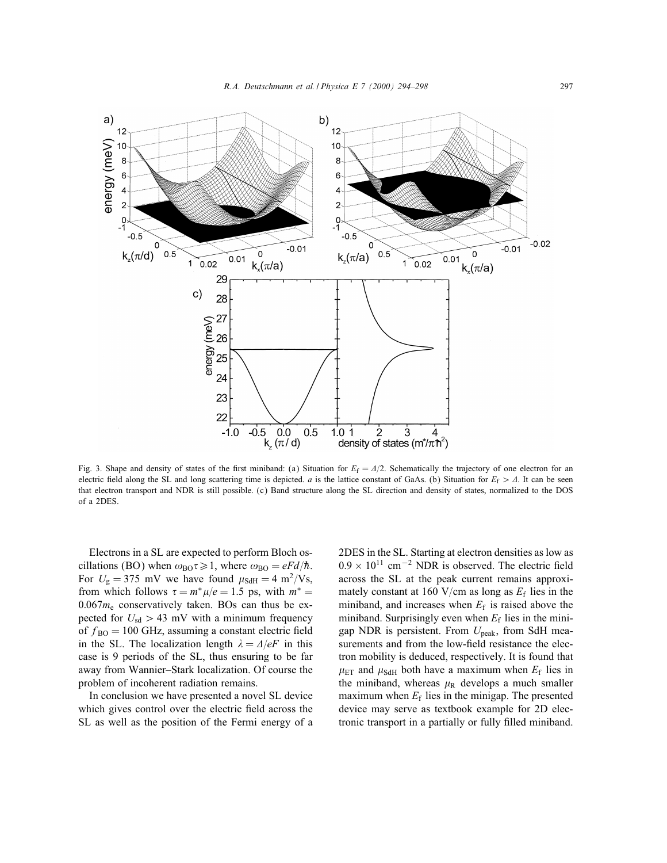

Fig. 3. Shape and density of states of the first miniband: (a) Situation for  $E_f = \frac{\Delta}{2}$ . Schematically the trajectory of one electron for an electric field along the SL and long scattering time is depicted. *a* is the lattice constant of GaAs. (b) Situation for  $E_f > \Lambda$ . It can be seen that electron transport and NDR is still possible. (c) Band structure along the SL direction and density of states, normalized to the DOS of a 2DES.

Electrons in a SL are expected to perform Bloch oscillations (BO) when  $\omega_{\text{BO}}\tau \geq 1$ , where  $\omega_{\text{BO}} = eF d/\hbar$ . For  $U_{\rm g} = 375$  mV we have found  $\mu_{\rm SdH} = 4 \text{ m}^2/\text{Vs}$ , from which follows  $\tau = m^* \mu/e = 1.5$  ps, with  $m^* =$  $0.067m_e$  conservatively taken. BOs can thus be expected for  $U_{sd} > 43$  mV with a minimum frequency of  $f_{\text{BO}} = 100 \text{ GHz}$ , assuming a constant electric field in the SL. The localization length  $\lambda = \Delta/eF$  in this case is 9 periods of the SL, thus ensuring to be far away from Wannier–Stark localization. Of course the problem of incoherent radiation remains.

In conclusion we have presented a novel SL device which gives control over the electric field across the SL as well as the position of the Fermi energy of a 2DES in the SL. Starting at electron densities as low as  $0.9 \times 10^{11}$  cm<sup>-2</sup> NDR is observed. The electric field across the SL at the peak current remains approximately constant at 160 V/cm as long as  $E_f$  lies in the miniband, and increases when  $E_f$  is raised above the miniband. Surprisingly even when  $E_f$  lies in the minigap NDR is persistent. From  $U_{\text{peak}}$ , from SdH measurements and from the low-field resistance the electron mobility is deduced, respectively. It is found that  $\mu_{\text{ET}}$  and  $\mu_{\text{SdH}}$  both have a maximum when  $E_f$  lies in the miniband, whereas  $\mu_R$  develops a much smaller maximum when  $E_f$  lies in the minigap. The presented device may serve as textbook example for 2D electronic transport in a partially or fully filled miniband.